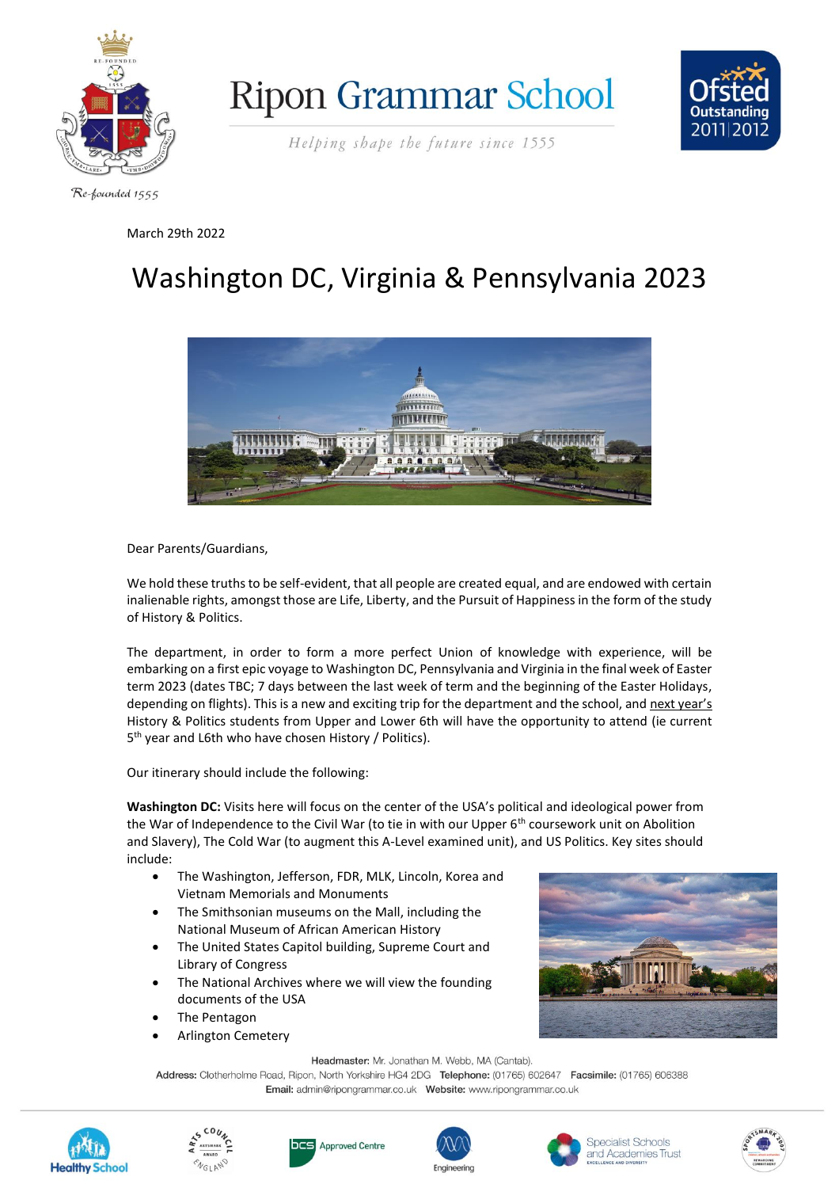





Helping shape the future since 1555

## March 29th 2022

## Washington DC, Virginia & Pennsylvania 2023



Dear Parents/Guardians,

We hold these truths to be self-evident, that all people are created equal, and are endowed with certain inalienable rights, amongst those are Life, Liberty, and the Pursuit of Happiness in the form of the study of History & Politics.

The department, in order to form a more perfect Union of knowledge with experience, will be embarking on a first epic voyage to Washington DC, Pennsylvania and Virginia in the final week of Easter term 2023 (dates TBC; 7 days between the last week of term and the beginning of the Easter Holidays, depending on flights). This is a new and exciting trip for the department and the school, and next year's History & Politics students from Upper and Lower 6th will have the opportunity to attend (ie current 5<sup>th</sup> year and L6th who have chosen History / Politics).

Our itinerary should include the following:

**Washington DC:** Visits here will focus on the center of the USA's political and ideological power from the War of Independence to the Civil War (to tie in with our Upper  $6<sup>th</sup>$  coursework unit on Abolition and Slavery), The Cold War (to augment this A-Level examined unit), and US Politics. Key sites should include:

- The Washington, Jefferson, FDR, MLK, Lincoln, Korea and Vietnam Memorials and Monuments
- The Smithsonian museums on the Mall, including the National Museum of African American History
- The United States Capitol building, Supreme Court and Library of Congress
- The National Archives where we will view the founding documents of the USA
- The Pentagon
- Arlington Cemetery



Headmaster: Mr. Jonathan M. Webb, MA (Cantab).

Address: Clotherholme Road, Ripon, North Yorkshire HG4 2DG Telephone: (01765) 602647 Facsimile: (01765) 606388